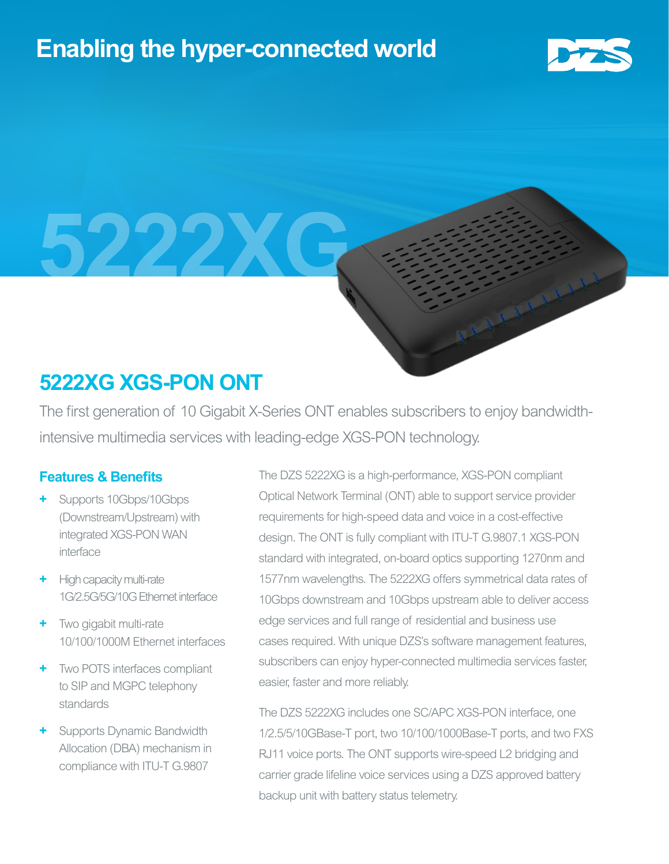# **Enabling the hyper-connected world**



## **5222XG XGS-PON ONT**

The first generation of 10 Gigabit X-Series ONT enables subscribers to enjoy bandwidthintensive multimedia services with leading-edge XGS-PON technology.

### **Features & Benefits**

- **+** Supports 10Gbps/10Gbps (Downstream/Upstream) with integrated XGS-PON WAN interface
- **+** High capacity multi-rate 1G/2.5G/5G/10G Ethernet interface
- **+** Two gigabit multi-rate 10/100/1000M Ethernet interfaces
- **+** Two POTS interfaces compliant to SIP and MGPC telephony standards
- **+** Supports Dynamic Bandwidth Allocation (DBA) mechanism in compliance with ITU-T G.9807

The DZS 5222XG is a high-performance, XGS-PON compliant Optical Network Terminal (ONT) able to support service provider requirements for high-speed data and voice in a cost-effective design. The ONT is fully compliant with ITU-T G.9807.1 XGS-PON standard with integrated, on-board optics supporting 1270nm and 1577nm wavelengths. The 5222XG offers symmetrical data rates of 10Gbps downstream and 10Gbps upstream able to deliver access edge services and full range of residential and business use cases required. With unique DZS's software management features, subscribers can enjoy hyper-connected multimedia services faster, easier, faster and more reliably.

The DZS 5222XG includes one SC/APC XGS-PON interface, one 1/2.5/5/10GBase-T port, two 10/100/1000Base-T ports, and two FXS RJ11 voice ports. The ONT supports wire-speed L2 bridging and carrier grade lifeline voice services using a DZS approved battery backup unit with battery status telemetry.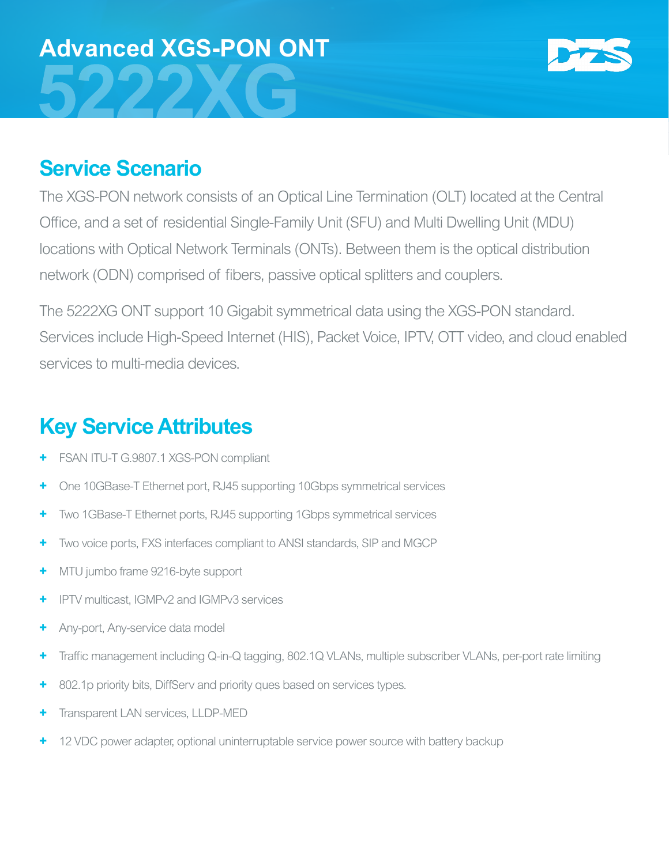

### **Service Scenario**

The XGS-PON network consists of an Optical Line Termination (OLT) located at the Central Office, and a set of residential Single-Family Unit (SFU) and Multi Dwelling Unit (MDU) locations with Optical Network Terminals (ONTs). Between them is the optical distribution network (ODN) comprised of fibers, passive optical splitters and couplers.

The 5222XG ONT support 10 Gigabit symmetrical data using the XGS-PON standard. Services include High-Speed Internet (HIS), Packet Voice, IPTV, OTT video, and cloud enabled services to multi-media devices.

## **Key Service Attributes**

- **+** FSAN ITU-T G.9807.1 XGS-PON compliant
- **+** One 10GBase-T Ethernet port, RJ45 supporting 10Gbps symmetrical services
- **+** Two 1GBase-T Ethernet ports, RJ45 supporting 1Gbps symmetrical services
- **+** Two voice ports, FXS interfaces compliant to ANSI standards, SIP and MGCP
- **+** MTU jumbo frame 9216-byte support
- **+** IPTV multicast, IGMPv2 and IGMPv3 services
- **+** Any-port, Any-service data model
- **+** Traffic management including Q-in-Q tagging, 802.1Q VLANs, multiple subscriber VLANs, per-port rate limiting
- **+** 802.1p priority bits, DiffServ and priority ques based on services types.
- **+** Transparent LAN services, LLDP-MED
- **+** 12 VDC power adapter, optional uninterruptable service power source with battery backup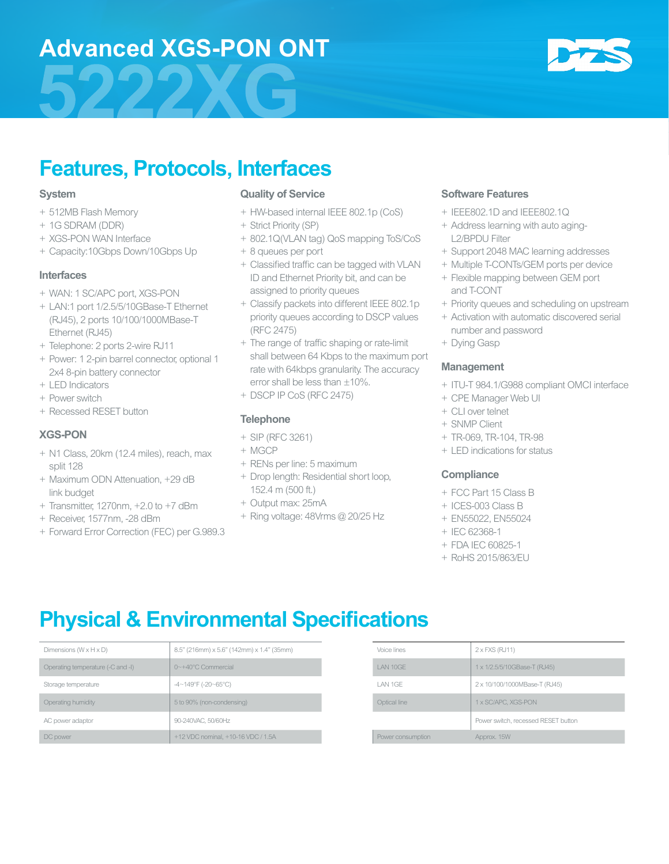## **Advanced XGS-PON ONT**



### **Features, Protocols, Interfaces**

#### **System**

- + 512MB Flash Memory
- + 1G SDRAM (DDR)
- + XGS-PON WAN Interface
- + Capacity:10Gbps Down/10Gbps Up

#### **Interfaces**

- + WAN: 1 SC/APC port, XGS-PON
- + LAN:1 port 1/2.5/5/10GBase-T Ethernet (RJ45), 2 ports 10/100/1000MBase-T Ethernet (RJ45)
- + Telephone: 2 ports 2-wire RJ11
- + Power: 1 2-pin barrel connector, optional 1 2x4 8-pin battery connector
- + LED Indicators
- + Power switch
- + Recessed RESET button

#### **XGS-PON**

- + N1 Class, 20km (12.4 miles), reach, max split 128
- + Maximum ODN Attenuation, +29 dB link budget
- + Transmitter, 1270nm, +2.0 to +7 dBm
- + Receiver, 1577nm, -28 dBm
- + Forward Error Correction (FEC) per G.989.3

#### **Quality of Service**

- + HW-based internal IEEE 802.1p (CoS)
- + Strict Priority (SP)
- + 802.1Q(VLAN tag) QoS mapping ToS/CoS
- + 8 queues per port
- + Classified traffic can be tagged with VLAN ID and Ethernet Priority bit, and can be assigned to priority queues
- + Classify packets into different IEEE 802.1p priority queues according to DSCP values (RFC 2475)
- + The range of traffic shaping or rate-limit shall between 64 Kbps to the maximum port rate with 64kbps granularity. The accuracy error shall be less than ±10%.
- + DSCP IP CoS (RFC 2475)

#### **Telephone**

- + SIP (RFC 3261)
- + MGCP
- + RENs per line: 5 maximum
- + Drop length: Residential short loop, 152.4 m (500 ft.)
- + Output max: 25mA
- + Ring voltage: 48Vrms @ 20/25 Hz

#### **Software Features**

- + IEEE802.1D and IEEE802.1Q
- + Address learning with auto aging-L2/BPDU Filter
- + Support 2048 MAC learning addresses
- + Multiple T-CONTs/GEM ports per device
- + Flexible mapping between GEM port and T-CONT
- + Priority queues and scheduling on upstream
- + Activation with automatic discovered serial
- number and password
- + Dying Gasp

#### **Management**

- + ITU-T 984.1/G988 compliant OMCI interface
- + CPE Manager Web UI
- + CLI over telnet
- + SNMP Client
- + TR-069, TR-104, TR-98
- + LED indications for status

#### **Compliance**

- + FCC Part 15 Class B
- + ICES-003 Class B
- + EN55022, EN55024
- + IEC 62368-1
- + FDA IEC 60825-1
- + RoHS 2015/863/EU

### **Physical & Environmental Specifications**

| Dimensions $(W \times H \times D)$ | 8.5" (216mm) x 5.6" (142mm) x 1.4" (35mm) | Voice lines       | $2 \times$ FXS (RJ11)               |
|------------------------------------|-------------------------------------------|-------------------|-------------------------------------|
| Operating temperature (-C and -I)  | $0$ ~+40 $^{\circ}$ C Commercial          | <b>I AN 10GF</b>  | 1 x 1/2.5/5/10GBase-T (RJ45)        |
| Storage temperature                | $-4$ ~ 149°F (-20 ~ 65°C)                 | LAN 1GE           | 2 x 10/100/1000MBase-T (RJ45)       |
| Operating humidity                 | 5 to 90% (non-condensing)                 | Optical line      | 1 x SC/APC, XGS-PON                 |
| AC power adaptor                   | 90-240VAC, 50/60Hz                        |                   | Power switch, recessed RESET button |
| DC power                           | +12 VDC nominal, +10-16 VDC / 1.5A        | Power consumption | Approx. 15W                         |

| Voice lines       | $2 \times FXS (RJ11)$               |
|-------------------|-------------------------------------|
| <b>I AN 10GF</b>  | 1 x 1/2.5/5/10GBase-T (RJ45)        |
| I AN 1GF          | 2 x 10/100/1000MBase-T (RJ45)       |
| Optical line      | 1 x SC/APC, XGS-PON                 |
|                   | Power switch, recessed RESET button |
| Power consumption | Approx, 15W                         |